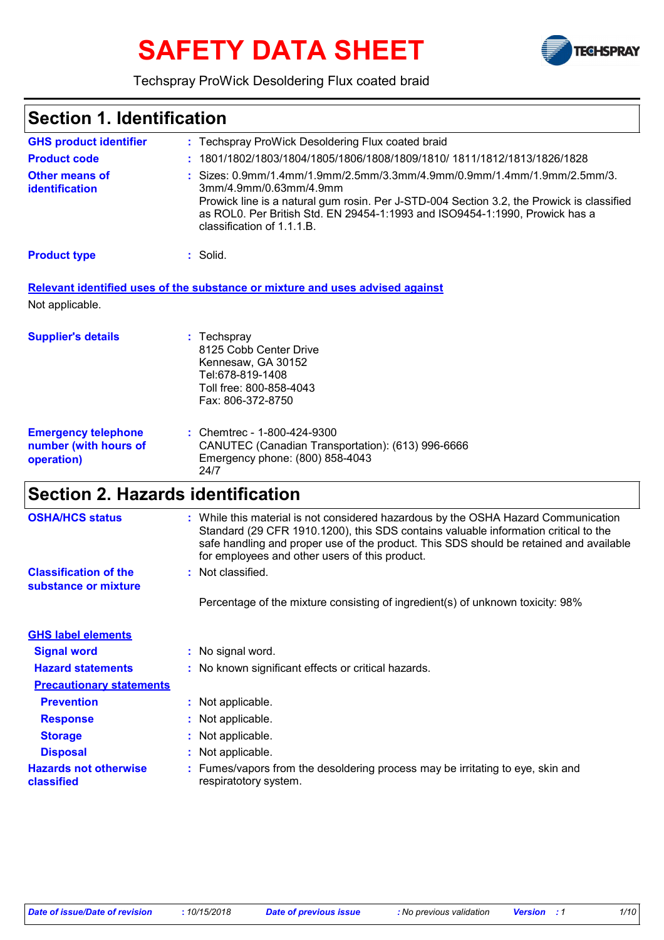# **SAFETY DATA SHEET**



### Techspray ProWick Desoldering Flux coated braid

### Techspray ProWick Desoldering Flux coated braid **:** Sizes: 0.9mm/1.4mm/1.9mm/2.5mm/3.3mm/4.9mm/0.9mm/1.4mm/1.9mm/2.5mm/3. **:** 3mm/4.9mm/0.63mm/4.9mm Prowick line is a natural gum rosin. Per J-STD-004 Section 3.2, the Prowick is classified as ROL0. Per British Std. EN 29454-1:1993 and ISO9454-1:1990, Prowick has a classification of 1.1.1.B. **:** Solid. Chemtrec - 1-800-424-9300 **:** CANUTEC (Canadian Transportation): (613) 996-6666 Emergency phone: (800) 858-4043 24/7 **GHS product identifier Other means of identification Product type Emergency telephone number (with hours of operation) Section 1. Identification Supplier's details :** Techspray 8125 Cobb Center Drive Kennesaw, GA 30152 Tel:678-819-1408 Toll free: 800-858-4043 Fax: 806-372-8750 **Relevant identified uses of the substance or mixture and uses advised against** Not applicable. **Product code :** 1801/1802/1803/1804/1805/1806/1808/1809/1810/ 1811/1812/1813/1826/1828 **Section 2. Hazards identification Classification of the substance or mixture** : Not classified. **Signal word :** No signal word. **Hazard statements :** No known significant effects or critical hazards. **Precautionary statements Prevention :** Not applicable. **Response :** Not applicable. **Storage :** Not applicable. **Disposal :** Not applicable. **GHS label elements** Percentage of the mixture consisting of ingredient(s) of unknown toxicity: 98% **OSHA/HCS status :** While this material is not considered hazardous by the OSHA Hazard Communication Standard (29 CFR 1910.1200), this SDS contains valuable information critical to the safe handling and proper use of the product. This SDS should be retained and available for employees and other users of this product. **Hazards not otherwise classified :** Fumes/vapors from the desoldering process may be irritating to eye, skin and respiratotory system.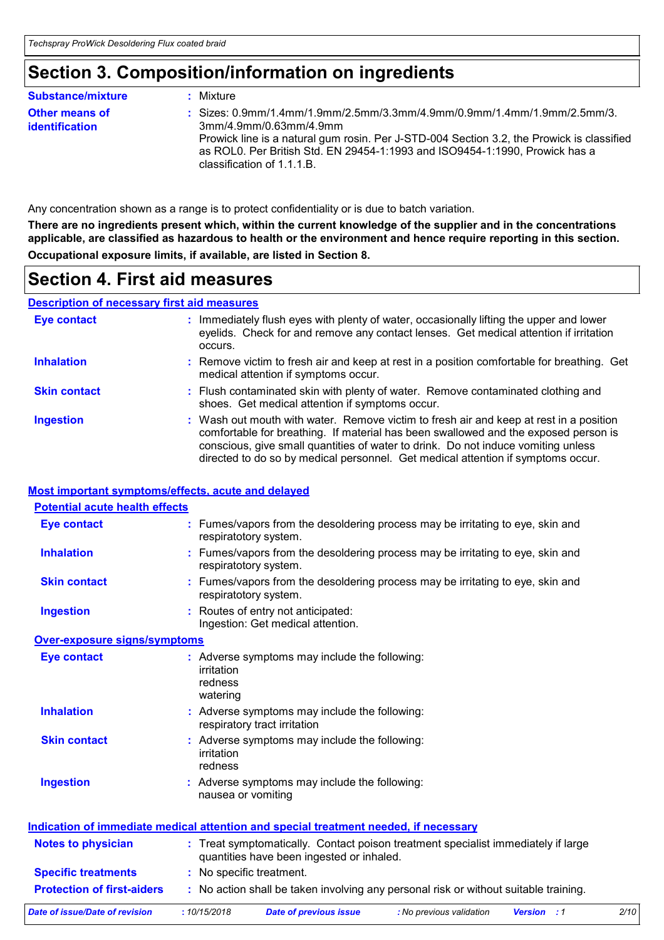## **Section 3. Composition/information on ingredients**

| <b>Substance/mixture</b>                       | : Mixture                                                                                                                                                                                                                                                                                                      |  |
|------------------------------------------------|----------------------------------------------------------------------------------------------------------------------------------------------------------------------------------------------------------------------------------------------------------------------------------------------------------------|--|
| <b>Other means of</b><br><b>identification</b> | : Sizes: $0.9$ mm/1.4mm/1.9mm/2.5mm/3.3mm/4.9mm/0.9mm/1.4mm/1.9mm/2.5mm/3.<br>3mm/4.9mm/0.63mm/4.9mm<br>Prowick line is a natural gum rosin. Per J-STD-004 Section 3.2, the Prowick is classified<br>as ROL0. Per British Std. EN 29454-1:1993 and ISO9454-1:1990, Prowick has a<br>classification of 1.1.1.B. |  |

Any concentration shown as a range is to protect confidentiality or is due to batch variation.

**There are no ingredients present which, within the current knowledge of the supplier and in the concentrations applicable, are classified as hazardous to health or the environment and hence require reporting in this section. Occupational exposure limits, if available, are listed in Section 8.**

## **Section 4. First aid measures**

### **Description of necessary first aid measures**

| Eye contact         | : Immediately flush eyes with plenty of water, occasionally lifting the upper and lower<br>eyelids. Check for and remove any contact lenses. Get medical attention if irritation<br>occurs.                                                                                                                                                            |
|---------------------|--------------------------------------------------------------------------------------------------------------------------------------------------------------------------------------------------------------------------------------------------------------------------------------------------------------------------------------------------------|
| <b>Inhalation</b>   | : Remove victim to fresh air and keep at rest in a position comfortable for breathing. Get<br>medical attention if symptoms occur.                                                                                                                                                                                                                     |
| <b>Skin contact</b> | : Flush contaminated skin with plenty of water. Remove contaminated clothing and<br>shoes. Get medical attention if symptoms occur.                                                                                                                                                                                                                    |
| <b>Ingestion</b>    | : Wash out mouth with water. Remove victim to fresh air and keep at rest in a position<br>comfortable for breathing. If material has been swallowed and the exposed person is<br>conscious, give small quantities of water to drink. Do not induce vomiting unless<br>directed to do so by medical personnel. Get medical attention if symptoms occur. |

### **Most important symptoms/effects, acute and delayed**

| <b>Potential acute health effects</b> |                                                                                                                                |      |
|---------------------------------------|--------------------------------------------------------------------------------------------------------------------------------|------|
| <b>Eye contact</b>                    | : Fumes/vapors from the desoldering process may be irritating to eye, skin and<br>respiratotory system.                        |      |
| <b>Inhalation</b>                     | : Fumes/vapors from the desoldering process may be irritating to eye, skin and<br>respiratotory system.                        |      |
| <b>Skin contact</b>                   | : Fumes/vapors from the desoldering process may be irritating to eye, skin and<br>respiratotory system.                        |      |
| <b>Ingestion</b>                      | : Routes of entry not anticipated:<br>Ingestion: Get medical attention.                                                        |      |
| <b>Over-exposure signs/symptoms</b>   |                                                                                                                                |      |
| <b>Eye contact</b>                    | : Adverse symptoms may include the following:<br>irritation<br>redness<br>watering                                             |      |
| <b>Inhalation</b>                     | : Adverse symptoms may include the following:<br>respiratory tract irritation                                                  |      |
| <b>Skin contact</b>                   | : Adverse symptoms may include the following:<br>irritation<br>redness                                                         |      |
| <b>Ingestion</b>                      | : Adverse symptoms may include the following:<br>nausea or vomiting                                                            |      |
|                                       | <u>Indication of immediate medical attention and special treatment needed, if necessary</u>                                    |      |
| <b>Notes to physician</b>             | : Treat symptomatically. Contact poison treatment specialist immediately if large<br>quantities have been ingested or inhaled. |      |
| <b>Specific treatments</b>            | : No specific treatment.                                                                                                       |      |
| <b>Protection of first-aiders</b>     | : No action shall be taken involving any personal risk or without suitable training.                                           |      |
| Date of issue/Date of revision        | :10/15/2018<br>Date of previous issue<br>: No previous validation<br><b>Version</b> : 1                                        | 2/10 |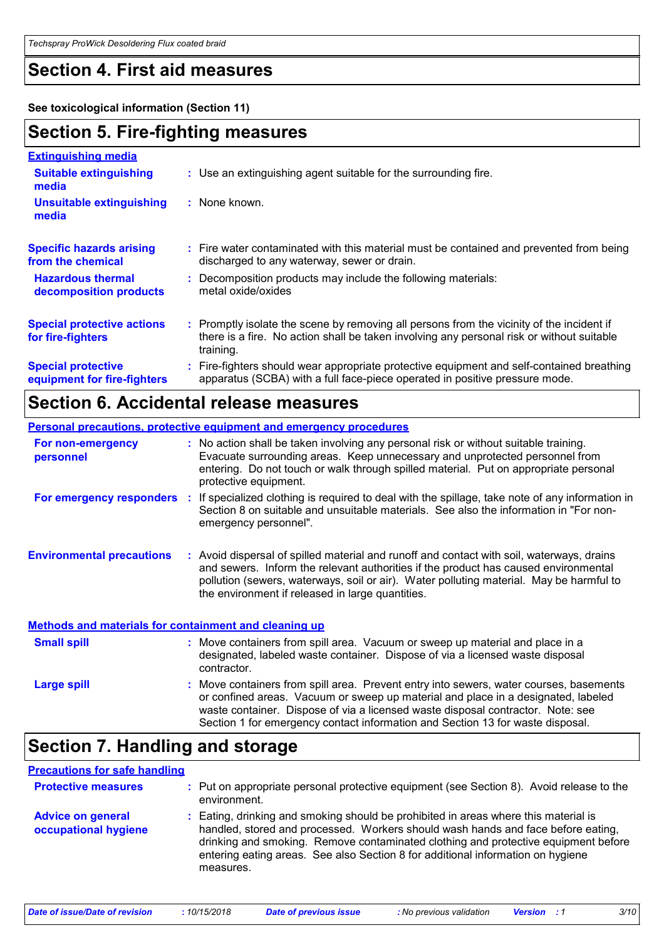## **Section 4. First aid measures**

**See toxicological information (Section 11)**

## **Section 5. Fire-fighting measures**

| <b>Extinguishing media</b>                               |                                                                                                                                                                                                     |
|----------------------------------------------------------|-----------------------------------------------------------------------------------------------------------------------------------------------------------------------------------------------------|
| <b>Suitable extinguishing</b><br>media                   | : Use an extinguishing agent suitable for the surrounding fire.                                                                                                                                     |
| <b>Unsuitable extinguishing</b><br>media                 | $:$ None known.                                                                                                                                                                                     |
| <b>Specific hazards arising</b><br>from the chemical     | : Fire water contaminated with this material must be contained and prevented from being<br>discharged to any waterway, sewer or drain.                                                              |
| <b>Hazardous thermal</b><br>decomposition products       | Decomposition products may include the following materials:<br>metal oxide/oxides                                                                                                                   |
| <b>Special protective actions</b><br>for fire-fighters   | : Promptly isolate the scene by removing all persons from the vicinity of the incident if<br>there is a fire. No action shall be taken involving any personal risk or without suitable<br>training. |
| <b>Special protective</b><br>equipment for fire-fighters | : Fire-fighters should wear appropriate protective equipment and self-contained breathing<br>apparatus (SCBA) with a full face-piece operated in positive pressure mode.                            |

## **Section 6. Accidental release measures**

|                                                              | Personal precautions, protective equipment and emergency procedures                                                                                                                                                                                                                                                             |
|--------------------------------------------------------------|---------------------------------------------------------------------------------------------------------------------------------------------------------------------------------------------------------------------------------------------------------------------------------------------------------------------------------|
| For non-emergency<br>personnel                               | : No action shall be taken involving any personal risk or without suitable training.<br>Evacuate surrounding areas. Keep unnecessary and unprotected personnel from<br>entering. Do not touch or walk through spilled material. Put on appropriate personal<br>protective equipment.                                            |
| For emergency responders                                     | If specialized clothing is required to deal with the spillage, take note of any information in<br>Section 8 on suitable and unsuitable materials. See also the information in "For non-<br>emergency personnel".                                                                                                                |
| <b>Environmental precautions</b>                             | : Avoid dispersal of spilled material and runoff and contact with soil, waterways, drains<br>and sewers. Inform the relevant authorities if the product has caused environmental<br>pollution (sewers, waterways, soil or air). Water polluting material. May be harmful to<br>the environment if released in large quantities. |
| <b>Methods and materials for containment and cleaning up</b> |                                                                                                                                                                                                                                                                                                                                 |

| <b>Small spill</b> | : Move containers from spill area. Vacuum or sweep up material and place in a<br>designated, labeled waste container. Dispose of via a licensed waste disposal<br>contractor.                                                                                                                                                                    |
|--------------------|--------------------------------------------------------------------------------------------------------------------------------------------------------------------------------------------------------------------------------------------------------------------------------------------------------------------------------------------------|
| Large spill        | : Move containers from spill area. Prevent entry into sewers, water courses, basements<br>or confined areas. Vacuum or sweep up material and place in a designated, labeled<br>waste container. Dispose of via a licensed waste disposal contractor. Note: see<br>Section 1 for emergency contact information and Section 13 for waste disposal. |

## **Section 7. Handling and storage**

### **Precautions for safe handling**

| <b>Protective measures</b>                       | : Put on appropriate personal protective equipment (see Section 8). Avoid release to the<br>environment.                                                                                                                                                                                                                                                      |  |  |  |
|--------------------------------------------------|---------------------------------------------------------------------------------------------------------------------------------------------------------------------------------------------------------------------------------------------------------------------------------------------------------------------------------------------------------------|--|--|--|
| <b>Advice on general</b><br>occupational hygiene | : Eating, drinking and smoking should be prohibited in areas where this material is<br>handled, stored and processed. Workers should wash hands and face before eating,<br>drinking and smoking. Remove contaminated clothing and protective equipment before<br>entering eating areas. See also Section 8 for additional information on hygiene<br>measures. |  |  |  |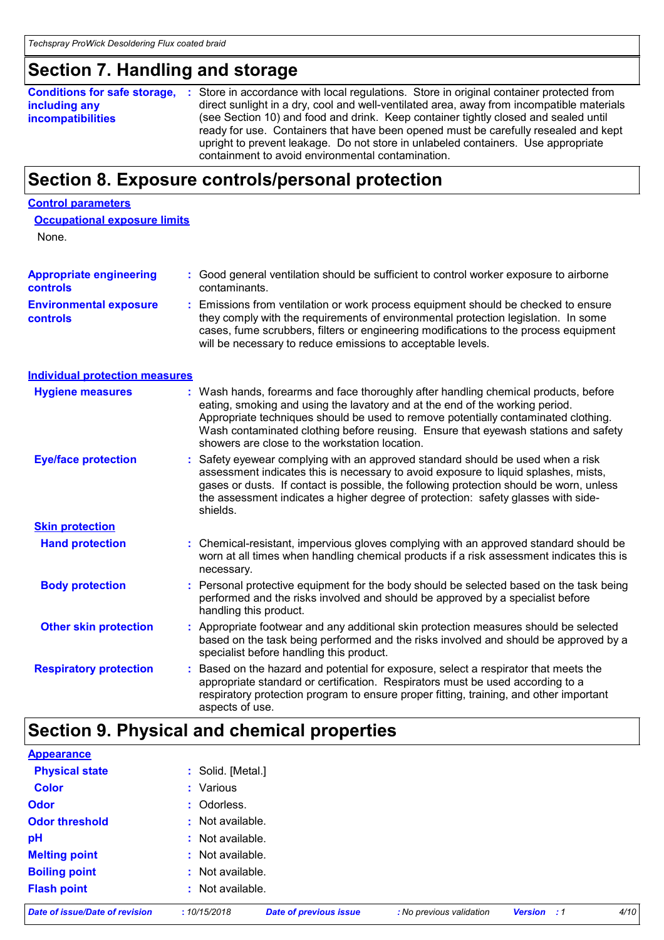## **Section 7. Handling and storage**

|                                                                                                                 | <b>Conditions for safe storage, :</b> Store in accordance with local regulations. Store in original container protected from |  |  |  |
|-----------------------------------------------------------------------------------------------------------------|------------------------------------------------------------------------------------------------------------------------------|--|--|--|
| including any                                                                                                   | direct sunlight in a dry, cool and well-ventilated area, away from incompatible materials                                    |  |  |  |
| (see Section 10) and food and drink. Keep container tightly closed and sealed until<br><b>incompatibilities</b> |                                                                                                                              |  |  |  |
|                                                                                                                 | ready for use. Containers that have been opened must be carefully resealed and kept                                          |  |  |  |
|                                                                                                                 | upright to prevent leakage. Do not store in unlabeled containers. Use appropriate                                            |  |  |  |
|                                                                                                                 | containment to avoid environmental contamination.                                                                            |  |  |  |

## **Section 8. Exposure controls/personal protection**

### **Control parameters**

None.

| <b>Appropriate engineering</b><br>controls       |    | : Good general ventilation should be sufficient to control worker exposure to airborne<br>contaminants.                                                                                                                                                                                                                                                                                           |  |  |  |
|--------------------------------------------------|----|---------------------------------------------------------------------------------------------------------------------------------------------------------------------------------------------------------------------------------------------------------------------------------------------------------------------------------------------------------------------------------------------------|--|--|--|
| <b>Environmental exposure</b><br><b>controls</b> | ÷. | Emissions from ventilation or work process equipment should be checked to ensure<br>they comply with the requirements of environmental protection legislation. In some<br>cases, fume scrubbers, filters or engineering modifications to the process equipment<br>will be necessary to reduce emissions to acceptable levels.                                                                     |  |  |  |
| <b>Individual protection measures</b>            |    |                                                                                                                                                                                                                                                                                                                                                                                                   |  |  |  |
| <b>Hygiene measures</b>                          |    | : Wash hands, forearms and face thoroughly after handling chemical products, before<br>eating, smoking and using the lavatory and at the end of the working period.<br>Appropriate techniques should be used to remove potentially contaminated clothing.<br>Wash contaminated clothing before reusing. Ensure that eyewash stations and safety<br>showers are close to the workstation location. |  |  |  |
| <b>Eye/face protection</b>                       |    | Safety eyewear complying with an approved standard should be used when a risk<br>assessment indicates this is necessary to avoid exposure to liquid splashes, mists,<br>gases or dusts. If contact is possible, the following protection should be worn, unless<br>the assessment indicates a higher degree of protection: safety glasses with side-<br>shields.                                  |  |  |  |
| <b>Skin protection</b>                           |    |                                                                                                                                                                                                                                                                                                                                                                                                   |  |  |  |
| <b>Hand protection</b>                           |    | : Chemical-resistant, impervious gloves complying with an approved standard should be<br>worn at all times when handling chemical products if a risk assessment indicates this is<br>necessary.                                                                                                                                                                                                   |  |  |  |
| <b>Body protection</b>                           |    | Personal protective equipment for the body should be selected based on the task being<br>performed and the risks involved and should be approved by a specialist before<br>handling this product.                                                                                                                                                                                                 |  |  |  |
| <b>Other skin protection</b>                     |    | : Appropriate footwear and any additional skin protection measures should be selected<br>based on the task being performed and the risks involved and should be approved by a<br>specialist before handling this product.                                                                                                                                                                         |  |  |  |
| <b>Respiratory protection</b>                    |    | Based on the hazard and potential for exposure, select a respirator that meets the<br>appropriate standard or certification. Respirators must be used according to a<br>respiratory protection program to ensure proper fitting, training, and other important<br>aspects of use.                                                                                                                 |  |  |  |

## **Section 9. Physical and chemical properties**

| <b>Date of issue/Date of revision</b> | :10/15/2018       | <b>Date of previous issue</b> | : No previous validation | <b>Version</b> : 1 |  | 4/10 |  |  |
|---------------------------------------|-------------------|-------------------------------|--------------------------|--------------------|--|------|--|--|
| <b>Flash point</b>                    | : Not available.  |                               |                          |                    |  |      |  |  |
| <b>Boiling point</b>                  | : Not available.  |                               |                          |                    |  |      |  |  |
| <b>Melting point</b>                  | : Not available.  |                               |                          |                    |  |      |  |  |
| pH                                    | : Not available.  |                               |                          |                    |  |      |  |  |
| <b>Odor threshold</b>                 | : Not available.  |                               |                          |                    |  |      |  |  |
| <b>Odor</b>                           | : Odorless.       |                               |                          |                    |  |      |  |  |
| <b>Color</b>                          | : Various         |                               |                          |                    |  |      |  |  |
| <b>Physical state</b>                 | : Solid. [Metal.] |                               |                          |                    |  |      |  |  |
| <b>Appearance</b>                     |                   |                               |                          |                    |  |      |  |  |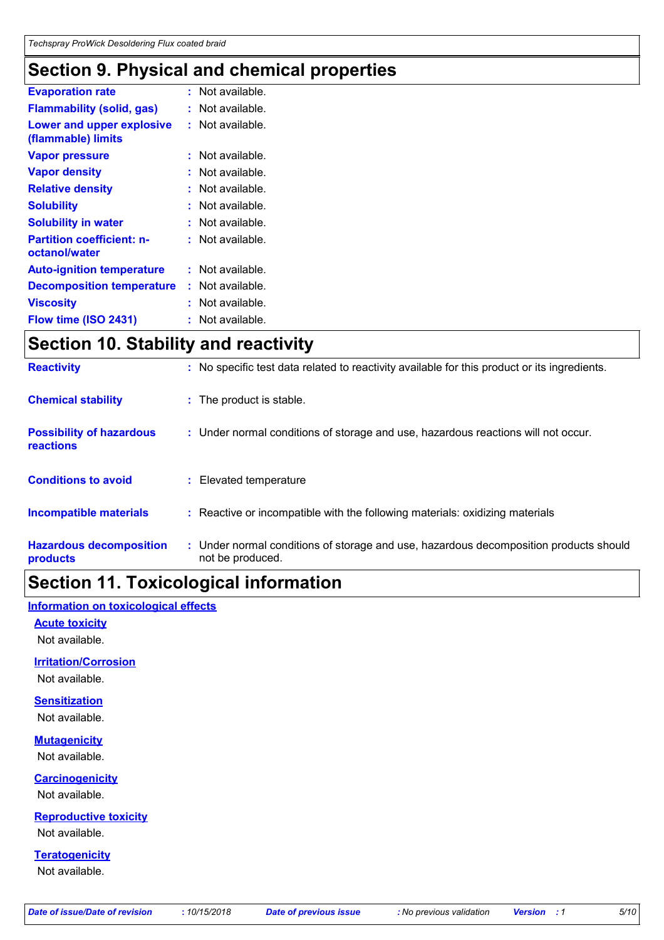## **Section 9. Physical and chemical properties**

| <b>Evaporation rate</b>                                | $:$ Not available. |
|--------------------------------------------------------|--------------------|
| <b>Flammability (solid, gas)</b>                       | : Not available.   |
| <b>Lower and upper explosive</b><br>(flammable) limits | : Not available.   |
| <b>Vapor pressure</b>                                  | : Not available.   |
| <b>Vapor density</b>                                   | Not available.     |
| <b>Relative density</b>                                | : Not available.   |
| <b>Solubility</b>                                      | . Not available.   |
| <b>Solubility in water</b>                             | : Not available.   |
| <b>Partition coefficient: n-</b><br>octanol/water      | Not available.     |
| <b>Auto-ignition temperature</b>                       | $:$ Not available. |
| <b>Decomposition temperature</b>                       | Not available.     |
| <b>Viscosity</b>                                       | Not available.     |
| Flow time (ISO 2431)                                   | Not available.     |

## **Section 10. Stability and reactivity**

| <b>Reactivity</b>                                   | : No specific test data related to reactivity available for this product or its ingredients.              |
|-----------------------------------------------------|-----------------------------------------------------------------------------------------------------------|
| <b>Chemical stability</b>                           | : The product is stable.                                                                                  |
| <b>Possibility of hazardous</b><br><b>reactions</b> | : Under normal conditions of storage and use, hazardous reactions will not occur.                         |
| <b>Conditions to avoid</b>                          | : Elevated temperature                                                                                    |
| <b>Incompatible materials</b>                       | : Reactive or incompatible with the following materials: oxidizing materials                              |
| <b>Hazardous decomposition</b><br>products          | : Under normal conditions of storage and use, hazardous decomposition products should<br>not be produced. |

## **Section 11. Toxicological information**

### **Information on toxicological effects**

**Acute toxicity**

Not available.

### **Irritation/Corrosion**

Not available.

### **Sensitization**

Not available.

### **Mutagenicity**

Not available.

### **Carcinogenicity**

Not available.

### **Reproductive toxicity**

Not available.

### **Teratogenicity**

Not available.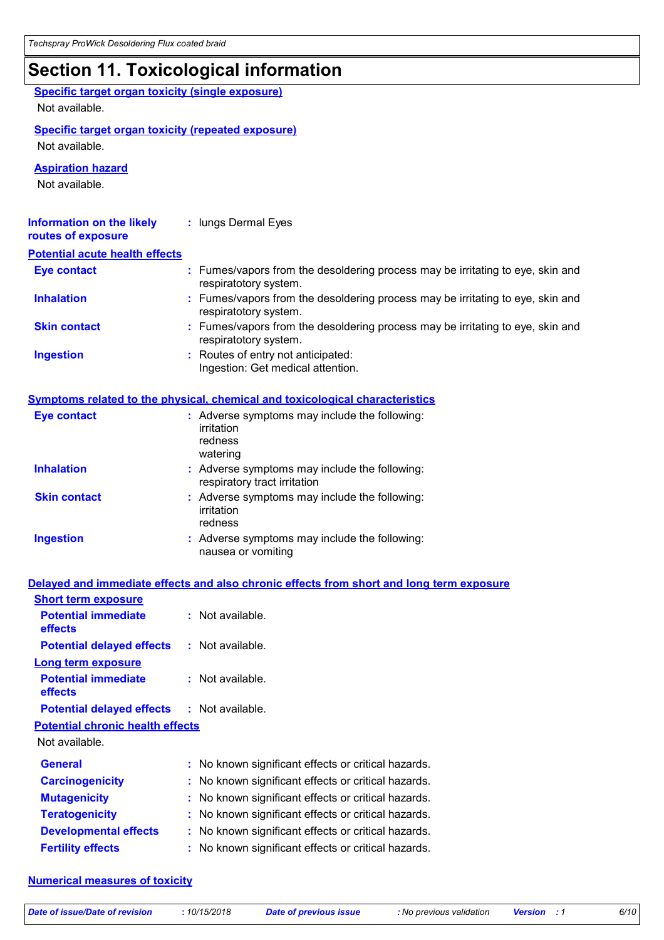## **Section 11. Toxicological information**

| <b>Specific target organ toxicity (single exposure)</b><br>Not available.   |                                                                                                         |
|-----------------------------------------------------------------------------|---------------------------------------------------------------------------------------------------------|
| <b>Specific target organ toxicity (repeated exposure)</b><br>Not available. |                                                                                                         |
| <b>Aspiration hazard</b><br>Not available.                                  |                                                                                                         |
| <b>Information on the likely</b><br>routes of exposure                      | : lungs Dermal Eyes                                                                                     |
| <b>Potential acute health effects</b>                                       |                                                                                                         |
| <b>Eye contact</b>                                                          | : Fumes/vapors from the desoldering process may be irritating to eye, skin and<br>respiratotory system. |
| <b>Inhalation</b>                                                           | : Fumes/vapors from the desoldering process may be irritating to eye, skin and<br>respiratotory system. |
| <b>Skin contact</b>                                                         | : Fumes/vapors from the desoldering process may be irritating to eye, skin and<br>respiratotory system. |
| <b>Ingestion</b>                                                            | : Routes of entry not anticipated:<br>Ingestion: Get medical attention.                                 |
|                                                                             | <b>Symptoms related to the physical, chemical and toxicological characteristics</b>                     |
| <b>Eye contact</b>                                                          | : Adverse symptoms may include the following:                                                           |

| $-$ <i>v</i> $-$ <i>vortuol</i> | . Adverse symptoms may include the following.<br>irritation<br>redness<br>watering |
|---------------------------------|------------------------------------------------------------------------------------|
| <b>Inhalation</b>               | : Adverse symptoms may include the following:<br>respiratory tract irritation      |
| <b>Skin contact</b>             | : Adverse symptoms may include the following:<br>irritation<br>redness             |
| <b>Ingestion</b>                | : Adverse symptoms may include the following:<br>nausea or vomiting                |

### **Delayed and immediate effects and also chronic effects from short and long term exposure**

| <b>Short term exposure</b>                        |                                                     |
|---------------------------------------------------|-----------------------------------------------------|
| <b>Potential immediate</b><br>effects             | $:$ Not available.                                  |
| <b>Potential delayed effects</b>                  | : Not available.                                    |
| Long term exposure                                |                                                     |
| <b>Potential immediate</b><br>effects             | $:$ Not available.                                  |
| <b>Potential delayed effects : Not available.</b> |                                                     |
| <b>Potential chronic health effects</b>           |                                                     |
| Not available.                                    |                                                     |
| <b>General</b>                                    | : No known significant effects or critical hazards. |
| <b>Carcinogenicity</b>                            | : No known significant effects or critical hazards. |
| <b>Mutagenicity</b>                               | : No known significant effects or critical hazards. |
| <b>Teratogenicity</b>                             | : No known significant effects or critical hazards. |
| <b>Developmental effects</b>                      | No known significant effects or critical hazards.   |
| <b>Fertility effects</b>                          | : No known significant effects or critical hazards. |

### **Numerical measures of toxicity**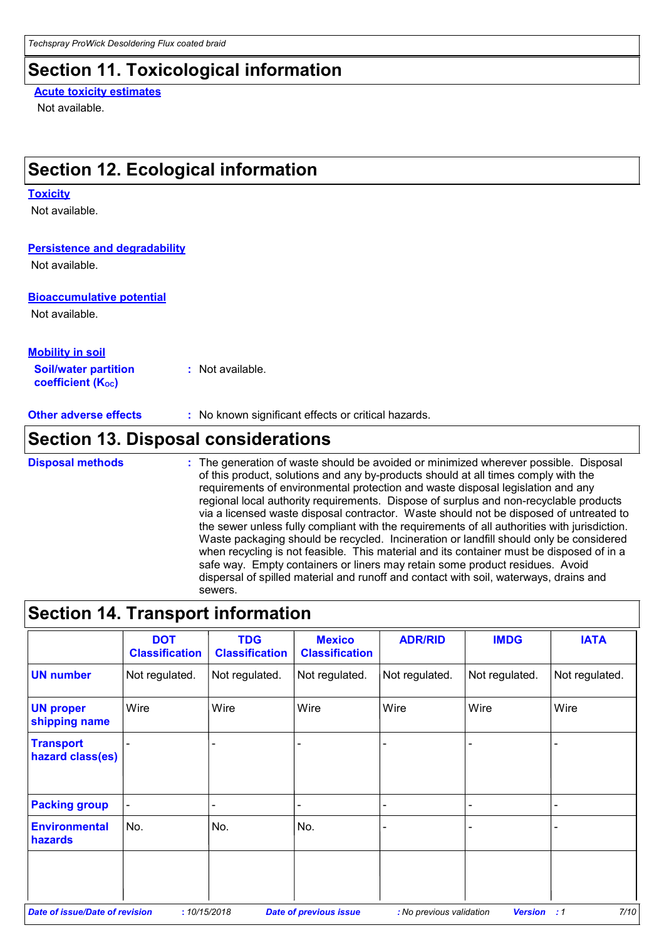## **Section 11. Toxicological information**

### **Acute toxicity estimates**

Not available.

## **Section 12. Ecological information**

#### **Toxicity**

Not available.

### **Persistence and degradability**

Not available.

### **Bioaccumulative potential**

Not available.

### **Mobility in soil**

**Soil/water partition coefficient (KOC) :** Not available.

**Other adverse effects** : No known significant effects or critical hazards.

## **Section 13. Disposal considerations**

**Disposal methods :**

The generation of waste should be avoided or minimized wherever possible. Disposal of this product, solutions and any by-products should at all times comply with the requirements of environmental protection and waste disposal legislation and any regional local authority requirements. Dispose of surplus and non-recyclable products via a licensed waste disposal contractor. Waste should not be disposed of untreated to the sewer unless fully compliant with the requirements of all authorities with jurisdiction. Waste packaging should be recycled. Incineration or landfill should only be considered when recycling is not feasible. This material and its container must be disposed of in a safe way. Empty containers or liners may retain some product residues. Avoid dispersal of spilled material and runoff and contact with soil, waterways, drains and sewers.

### **Section 14. Transport information**

|                                       | <b>DOT</b><br><b>Classification</b> | <b>TDG</b><br><b>Classification</b> | <b>Mexico</b><br><b>Classification</b> | <b>ADR/RID</b>           | <b>IMDG</b>     | <b>IATA</b>       |
|---------------------------------------|-------------------------------------|-------------------------------------|----------------------------------------|--------------------------|-----------------|-------------------|
| <b>UN number</b>                      | Not regulated.                      | Not regulated.                      | Not regulated.                         | Not regulated.           | Not regulated.  | Not regulated.    |
| <b>UN proper</b><br>shipping name     | Wire                                | Wire                                | Wire                                   | Wire                     | Wire            | Wire              |
| <b>Transport</b><br>hazard class(es)  |                                     |                                     |                                        |                          |                 |                   |
| <b>Packing group</b>                  | ÷.                                  | $\blacksquare$                      | $\overline{\phantom{0}}$               |                          | $\qquad \qquad$ | -                 |
| <b>Environmental</b><br>hazards       | No.                                 | No.                                 | No.                                    |                          |                 |                   |
|                                       |                                     |                                     |                                        |                          |                 |                   |
| <b>Date of issue/Date of revision</b> | :10/15/2018                         |                                     | <b>Date of previous issue</b>          | : No previous validation | <b>Version</b>  | 7/10<br>$\cdot$ 1 |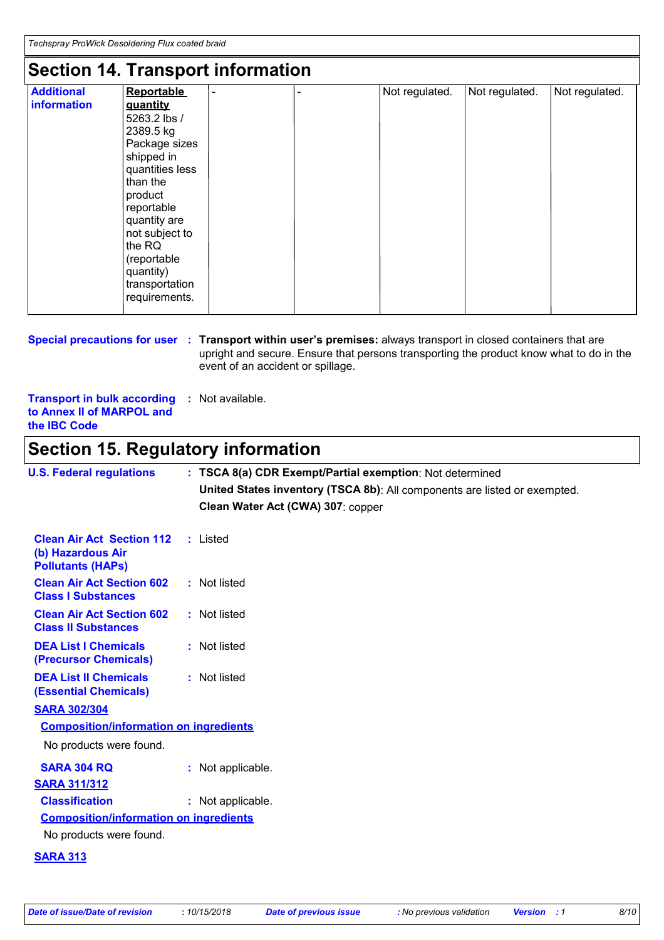## **Section 14. Transport information**

| <b>Additional</b> | <b>Reportable</b> | $\blacksquare$ | Not regulated. | Not regulated. | Not regulated. |
|-------------------|-------------------|----------------|----------------|----------------|----------------|
| information       | quantity          |                |                |                |                |
|                   | 5263.2 lbs /      |                |                |                |                |
|                   | 2389.5 kg         |                |                |                |                |
|                   | Package sizes     |                |                |                |                |
|                   | shipped in        |                |                |                |                |
|                   | quantities less   |                |                |                |                |
|                   | than the          |                |                |                |                |
|                   | product           |                |                |                |                |
|                   | reportable        |                |                |                |                |
|                   | quantity are      |                |                |                |                |
|                   | not subject to    |                |                |                |                |
|                   | the RQ            |                |                |                |                |
|                   | (reportable       |                |                |                |                |
|                   | quantity)         |                |                |                |                |
|                   | transportation    |                |                |                |                |
|                   | requirements.     |                |                |                |                |

### **Special precautions for user** : Transport within user's premises: always transport in closed containers that are upright and secure. Ensure that persons transporting the product know what to do in the event of an accident or spillage.

**Transport in bulk according to Annex II of MARPOL and the IBC Code :** Not available.

## **Section 15. Regulatory information**

| <b>U.S. Federal regulations</b>                                                   | : TSCA 8(a) CDR Exempt/Partial exemption: Not determined                  |
|-----------------------------------------------------------------------------------|---------------------------------------------------------------------------|
|                                                                                   | United States inventory (TSCA 8b): All components are listed or exempted. |
|                                                                                   | Clean Water Act (CWA) 307: copper                                         |
|                                                                                   |                                                                           |
| <b>Clean Air Act Section 112</b><br>(b) Hazardous Air<br><b>Pollutants (HAPs)</b> | : Listed                                                                  |
| <b>Clean Air Act Section 602</b><br><b>Class I Substances</b>                     | : Not listed                                                              |
| <b>Clean Air Act Section 602</b><br><b>Class II Substances</b>                    | : Not listed                                                              |
| <b>DEA List I Chemicals</b><br>(Precursor Chemicals)                              | : Not listed                                                              |
| <b>DEA List II Chemicals</b><br><b>(Essential Chemicals)</b>                      | : Not listed                                                              |
| <b>SARA 302/304</b>                                                               |                                                                           |
| <b>Composition/information on ingredients</b>                                     |                                                                           |
| No products were found.                                                           |                                                                           |
| <b>SARA 304 RQ</b>                                                                | : Not applicable.                                                         |
| <b>SARA 311/312</b>                                                               |                                                                           |
| <b>Classification</b>                                                             | : Not applicable.                                                         |
| <b>Composition/information on ingredients</b>                                     |                                                                           |
| No products were found.                                                           |                                                                           |
| <b>SARA 313</b>                                                                   |                                                                           |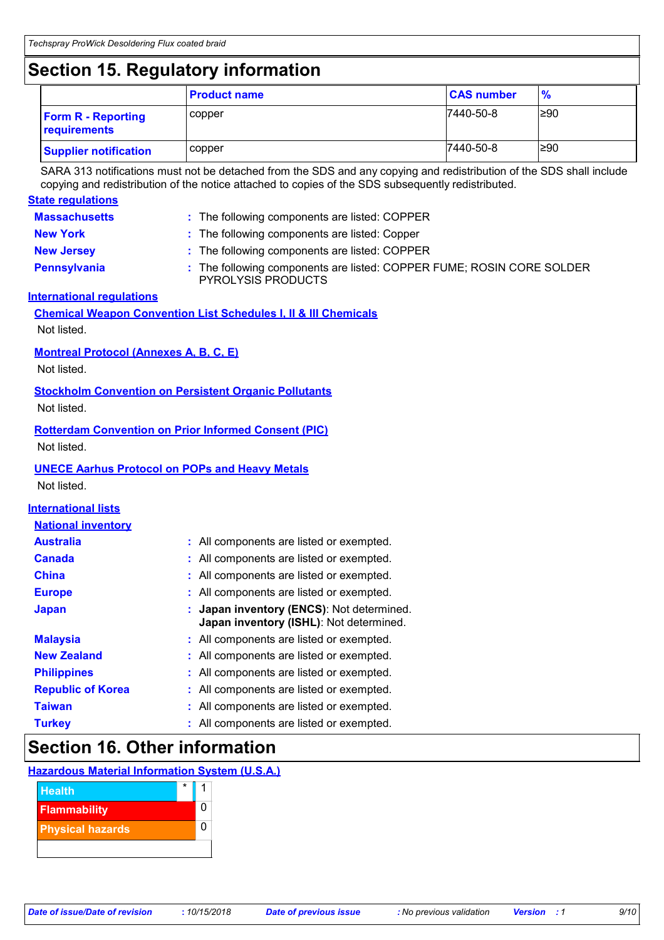## **Section 15. Regulatory information**

|                                           | <b>Product name</b> | <b>CAS number</b> | $\frac{9}{6}$ |
|-------------------------------------------|---------------------|-------------------|---------------|
| <b>Form R - Reporting</b><br>requirements | copper              | 7440-50-8         | $\geq 90$     |
| <b>Supplier notification</b>              | copper              | 7440-50-8         | ≥90           |

SARA 313 notifications must not be detached from the SDS and any copying and redistribution of the SDS shall include copying and redistribution of the notice attached to copies of the SDS subsequently redistributed.

| <b>State regulations</b>                                     |                                                                                                  |
|--------------------------------------------------------------|--------------------------------------------------------------------------------------------------|
| <b>Massachusetts</b>                                         | : The following components are listed: COPPER                                                    |
| <b>New York</b>                                              | The following components are listed: Copper                                                      |
| <b>New Jersey</b>                                            | The following components are listed: COPPER                                                      |
| <b>Pennsylvania</b>                                          | The following components are listed: COPPER FUME; ROSIN CORE SOLDER<br><b>PYROLYSIS PRODUCTS</b> |
| <b>International requlations</b>                             |                                                                                                  |
|                                                              | <b>Chemical Weapon Convention List Schedules I, II &amp; III Chemicals</b>                       |
| Not listed.                                                  |                                                                                                  |
| <b>Montreal Protocol (Annexes A, B, C, E)</b><br>Not listed. |                                                                                                  |
|                                                              | <b>Stockholm Convention on Persistent Organic Pollutants</b>                                     |
| Not listed.                                                  |                                                                                                  |
| Not listed.                                                  | <b>Rotterdam Convention on Prior Informed Consent (PIC)</b>                                      |
|                                                              | <b>UNECE Aarhus Protocol on POPs and Heavy Metals</b>                                            |
| Not listed.                                                  |                                                                                                  |
| <b>International lists</b>                                   |                                                                                                  |
| <b>National inventory</b>                                    |                                                                                                  |
| <b>Australia</b>                                             | : All components are listed or exempted.                                                         |
| <b>Canada</b>                                                | All components are listed or exempted.                                                           |
| <b>China</b>                                                 | All components are listed or exempted.                                                           |
| <b>Europe</b>                                                | All components are listed or exempted.                                                           |
| <b>Japan</b>                                                 | Japan inventory (ENCS): Not determined.<br>Japan inventory (ISHL): Not determined.               |
| <b>Malaysia</b>                                              | All components are listed or exempted.                                                           |
| <b>New Zealand</b>                                           | All components are listed or exempted.                                                           |
| <b>Philippines</b>                                           | All components are listed or exempted.                                                           |
| <b>Republic of Korea</b>                                     | All components are listed or exempted.                                                           |
| <b>Taiwan</b>                                                | All components are listed or exempted.                                                           |
| <b>Turkey</b>                                                | All components are listed or exempted.                                                           |
|                                                              |                                                                                                  |

## **Section 16. Other information**

### **Hazardous Material Information System (U.S.A.)**

| <b>Health</b>           | $\star$ |  |
|-------------------------|---------|--|
| <b>Flammability</b>     |         |  |
| <b>Physical hazards</b> |         |  |
|                         |         |  |